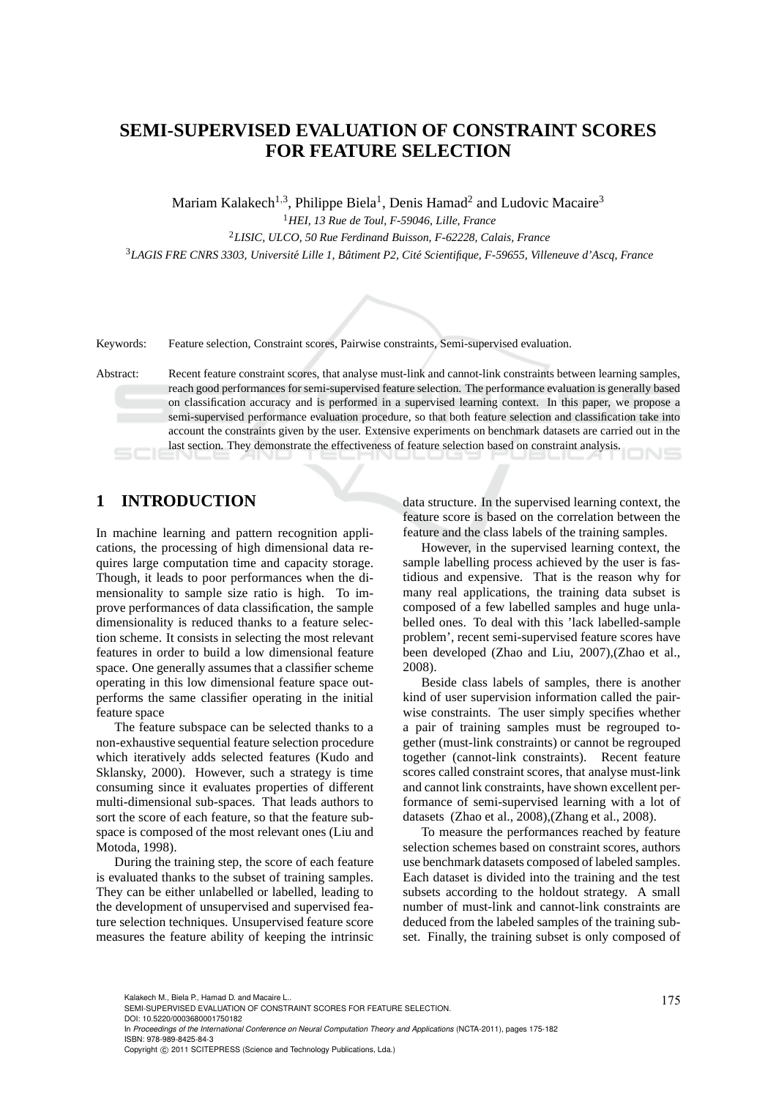# **SEMI-SUPERVISED EVALUATION OF CONSTRAINT SCORES FOR FEATURE SELECTION**

Mariam Kalakech<sup>1,3</sup>, Philippe Biela<sup>1</sup>, Denis Hamad<sup>2</sup> and Ludovic Macaire<sup>3</sup>

<sup>1</sup>*HEI, 13 Rue de Toul, F-59046, Lille, France* <sup>2</sup>*LISIC, ULCO, 50 Rue Ferdinand Buisson, F-62228, Calais, France* <sup>3</sup>LAGIS FRE CNRS 3303, Université Lille 1, Bâtiment P2, Cité Scientifique, F-59655, Villeneuve d'Ascq, France



Keywords: Feature selection, Constraint scores, Pairwise constraints, Semi-supervised evaluation.

Abstract: Recent feature constraint scores, that analyse must-link and cannot-link constraints between learning samples, reach good performances for semi-supervised feature selection. The performance evaluation is generally based on classification accuracy and is performed in a supervised learning context. In this paper, we propose a semi-supervised performance evaluation procedure, so that both feature selection and classification take into account the constraints given by the user. Extensive experiments on benchmark datasets are carried out in the last section. They demonstrate the effectiveness of feature selection based on constraint analysis.

# **1 INTRODUCTION**

In machine learning and pattern recognition applications, the processing of high dimensional data requires large computation time and capacity storage. Though, it leads to poor performances when the dimensionality to sample size ratio is high. To improve performances of data classification, the sample dimensionality is reduced thanks to a feature selection scheme. It consists in selecting the most relevant features in order to build a low dimensional feature space. One generally assumes that a classifier scheme operating in this low dimensional feature space outperforms the same classifier operating in the initial feature space

The feature subspace can be selected thanks to a non-exhaustive sequential feature selection procedure which iteratively adds selected features (Kudo and Sklansky, 2000). However, such a strategy is time consuming since it evaluates properties of different multi-dimensional sub-spaces. That leads authors to sort the score of each feature, so that the feature subspace is composed of the most relevant ones (Liu and Motoda, 1998).

During the training step, the score of each feature is evaluated thanks to the subset of training samples. They can be either unlabelled or labelled, leading to the development of unsupervised and supervised feature selection techniques. Unsupervised feature score measures the feature ability of keeping the intrinsic data structure. In the supervised learning context, the feature score is based on the correlation between the feature and the class labels of the training samples.

However, in the supervised learning context, the sample labelling process achieved by the user is fastidious and expensive. That is the reason why for many real applications, the training data subset is composed of a few labelled samples and huge unlabelled ones. To deal with this 'lack labelled-sample problem', recent semi-supervised feature scores have been developed (Zhao and Liu, 2007),(Zhao et al., 2008).

Beside class labels of samples, there is another kind of user supervision information called the pairwise constraints. The user simply specifies whether a pair of training samples must be regrouped together (must-link constraints) or cannot be regrouped together (cannot-link constraints). Recent feature scores called constraint scores, that analyse must-link and cannot link constraints, have shown excellent performance of semi-supervised learning with a lot of datasets (Zhao et al., 2008),(Zhang et al., 2008).

To measure the performances reached by feature selection schemes based on constraint scores, authors use benchmark datasets composed of labeled samples. Each dataset is divided into the training and the test subsets according to the holdout strategy. A small number of must-link and cannot-link constraints are deduced from the labeled samples of the training subset. Finally, the training subset is only composed of

In *Proceedings of the International Conference on Neural Computation Theory and Applications* (NCTA-2011), pages 175-182 ISBN: 978-989-8425-84-3

Kalakech M., Biela P., Hamad D. and Macaire L..<br>SEMI-SUPERVISED EVALUATION OF CONSTRAINT SCORES FOR FEATURE SELECTION. DOI: 10.5220/0003680001750182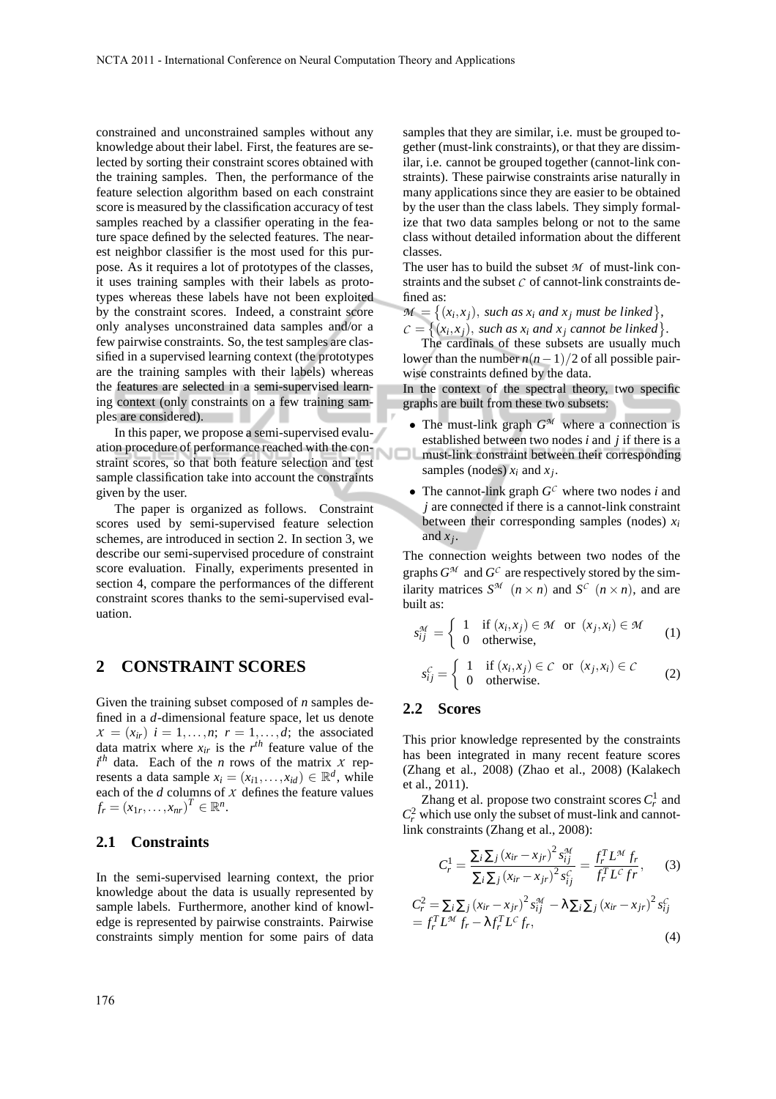constrained and unconstrained samples without any knowledge about their label. First, the features are selected by sorting their constraint scores obtained with the training samples. Then, the performance of the feature selection algorithm based on each constraint score is measured by the classification accuracy of test samples reached by a classifier operating in the feature space defined by the selected features. The nearest neighbor classifier is the most used for this purpose. As it requires a lot of prototypes of the classes, it uses training samples with their labels as prototypes whereas these labels have not been exploited by the constraint scores. Indeed, a constraint score only analyses unconstrained data samples and/or a few pairwise constraints. So, the test samples are classified in a supervised learning context (the prototypes are the training samples with their labels) whereas the features are selected in a semi-supervised learning context (only constraints on a few training samples are considered). . .

In this paper, we propose a semi-supervised evaluation procedure of performance reached with the constraint scores, so that both feature selection and test sample classification take into account the constraints given by the user.

The paper is organized as follows. Constraint scores used by semi-supervised feature selection schemes, are introduced in section 2. In section 3, we describe our semi-supervised procedure of constraint score evaluation. Finally, experiments presented in section 4, compare the performances of the different constraint scores thanks to the semi-supervised evaluation.

## **2 CONSTRAINT SCORES**

Given the training subset composed of *n* samples defined in a *d*-dimensional feature space, let us denote  $X = (x_{ir})$   $i = 1, \ldots, n;$   $r = 1, \ldots, d;$  the associated data matrix where  $x_{ir}$  is the  $r^{th}$  feature value of the  $i^{th}$  data. Each of the *n* rows of the matrix *X* represents a data sample  $x_i = (x_{i1}, \ldots, x_{id}) \in \mathbb{R}^d$ , while each of the *d* columns of *X* defines the feature values  $f_r = (x_{1r}, ..., x_{nr})^T \in \mathbb{R}^n$ .

### **2.1 Constraints**

In the semi-supervised learning context, the prior knowledge about the data is usually represented by sample labels. Furthermore, another kind of knowledge is represented by pairwise constraints. Pairwise constraints simply mention for some pairs of data samples that they are similar, i.e. must be grouped together (must-link constraints), or that they are dissimilar, i.e. cannot be grouped together (cannot-link constraints). These pairwise constraints arise naturally in many applications since they are easier to be obtained by the user than the class labels. They simply formalize that two data samples belong or not to the same class without detailed information about the different classes.

The user has to build the subset *M* of must-link constraints and the subset  $C$  of cannot-link constraints defined as:

 $M = \{(x_i, x_j), \text{ such as } x_i \text{ and } x_j \text{ must be linked}\},$  $C = \{(x_i, x_j), \text{ such as } x_i \text{ and } x_j \text{ cannot be linked}\}.$ 

The cardinals of these subsets are usually much lower than the number  $n(n-1)/2$  of all possible pairwise constraints defined by the data.

In the context of the spectral theory, two specific graphs are built from these two subsets:

- The must-link graph  $G^{\mathcal{M}}$  where a connection is established between two nodes *i* and *j* if there is a must-link constraint between their corresponding samples (nodes)  $x_i$  and  $x_j$ .
- The cannot-link graph  $G^C$  where two nodes *i* and *j* are connected if there is a cannot-link constraint between their corresponding samples (nodes) *x<sup>i</sup>* and *x<sup>j</sup>* .

The connection weights between two nodes of the graphs  $G^{\mathcal{M}}$  and  $G^{\mathcal{C}}$  are respectively stored by the similarity matrices  $S^{\mathcal{M}}$   $(n \times n)$  and  $S^{\mathcal{C}}$   $(n \times n)$ , and are built as:

$$
s_{ij}^{\mathcal{M}} = \begin{cases} 1 & \text{if } (x_i, x_j) \in \mathcal{M} \text{ or } (x_j, x_i) \in \mathcal{M} \\ 0 & \text{otherwise,} \end{cases} \tag{1}
$$

$$
s_{ij}^C = \begin{cases} 1 & \text{if } (x_i, x_j) \in C \text{ or } (x_j, x_i) \in C \\ 0 & \text{otherwise.} \end{cases}
$$
 (2)

#### **2.2 Scores**

This prior knowledge represented by the constraints has been integrated in many recent feature scores (Zhang et al., 2008) (Zhao et al., 2008) (Kalakech et al., 2011).

Zhang et al. propose two constraint scores  $C_r^1$  and  $C_r^2$  which use only the subset of must-link and cannotlink constraints (Zhang et al., 2008):

$$
C_r^1 = \frac{\sum_i \sum_j (x_{ir} - x_{jr})^2 s_{ij}^{\mathcal{M}}}{\sum_i \sum_j (x_{ir} - x_{jr})^2 s_{ij}^C} = \frac{f_r^T L^{\mathcal{M}} f_r}{f_r^T L^C f r},
$$
 (3)

$$
C_r^2 = \sum_i \sum_j (x_{ir} - x_{jr})^2 s_{ij}^M - \lambda \sum_i \sum_j (x_{ir} - x_{jr})^2 s_{ij}^C
$$
  
=  $f_r^T L^M f_r - \lambda f_r^T L^C f_r$ , (4)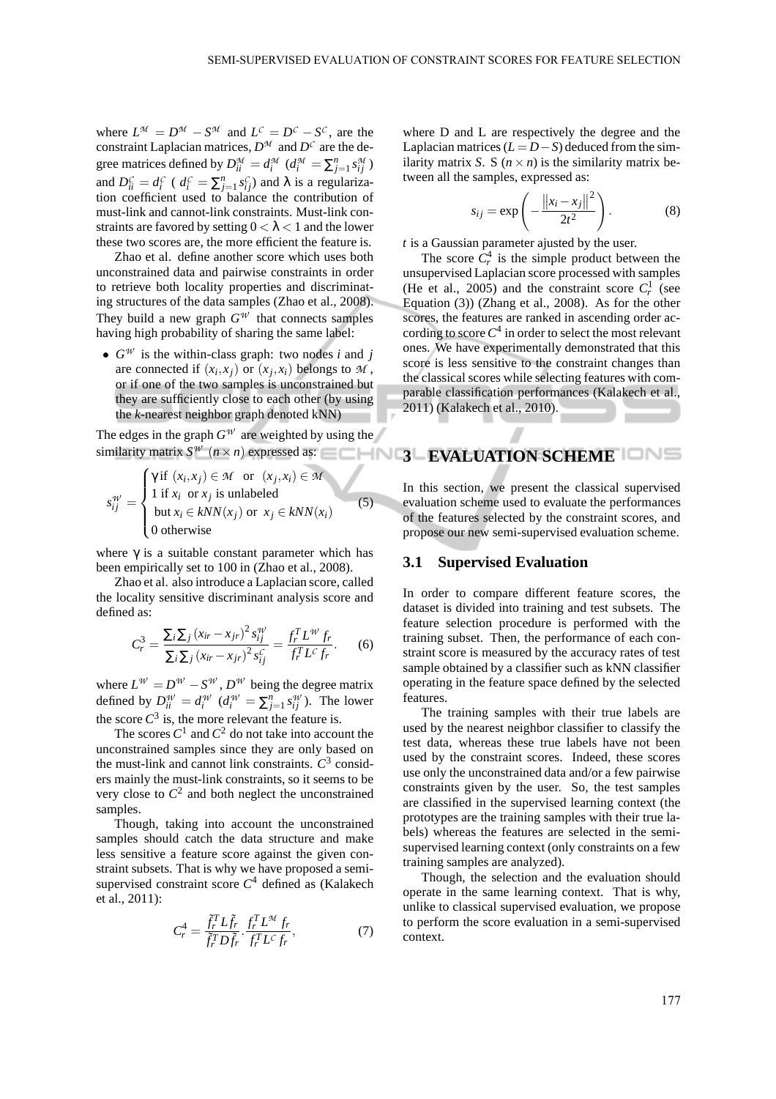where  $L^{\mathcal{M}} = D^{\mathcal{M}} - S^{\mathcal{M}}$  and  $L^{\mathcal{C}} = D^{\mathcal{C}} - S^{\mathcal{C}}$ , are the constraint Laplacian matrices,  $D^{\mathcal{M}}$  and  $D^{\mathcal{C}}$  are the degree matrices defined by  $D_{ii}^{\mathcal{M}} = d_i^{\mathcal{M}}$  ( $d_i^{\mathcal{M}} = \sum_{j=1}^n s_{ij}^{\mathcal{M}}$ ) and  $D_{ii}^C = d_i^C$  ( $d_i^C = \sum_{j=1}^n s_{ij}^C$ ) and  $\lambda$  is a regularization coefficient used to balance the contribution of must-link and cannot-link constraints. Must-link constraints are favored by setting  $0 < \lambda < 1$  and the lower these two scores are, the more efficient the feature is.

Zhao et al. define another score which uses both unconstrained data and pairwise constraints in order to retrieve both locality properties and discriminating structures of the data samples (Zhao et al., 2008). They build a new graph  $G^{\psi}$  that connects samples having high probability of sharing the same label:

•  $G^W$  is the within-class graph: two nodes *i* and *j* are connected if  $(x_i, x_j)$  or  $(x_j, x_i)$  belongs to  $M$ , or if one of the two samples is unconstrained but they are sufficiently close to each other (by using the *k*-nearest neighbor graph denoted kNN)

The edges in the graph  $G^{\mathcal{W}}$  are weighted by using the similarity matrix  $S^{\psi}(n \times n)$  expressed as:  $\blacksquare \blacksquare \blacksquare \blacksquare$  EVALUATION SCHEME

$$
s_{ij}^{W} = \begin{cases} \gamma \text{ if } (x_i, x_j) \in \mathcal{M} \text{ or } (x_j, x_i) \in \mathcal{M} \\ 1 \text{ if } x_i \text{ or } x_j \text{ is unlabeled} \\ \text{but } x_i \in kNN(x_j) \text{ or } x_j \in kNN(x_i) \\ 0 \text{ otherwise} \end{cases}
$$
(5)

where  $\gamma$  is a suitable constant parameter which has been empirically set to 100 in (Zhao et al., 2008).

Zhao et al. also introduce a Laplacian score, called the locality sensitive discriminant analysis score and defined as:

$$
C_r^3 = \frac{\sum_i \sum_j (x_{ir} - x_{jr})^2 s_{ij}^W}{\sum_i \sum_j (x_{ir} - x_{jr})^2 s_{ij}^C} = \frac{f_r^T L^W f_r}{f_r^T L^C f_r}.
$$
 (6)

where  $L^{\mathcal{W}} = D^{\mathcal{W}} - S^{\mathcal{W}}$ ,  $D^{\mathcal{W}}$  being the degree matrix defined by  $D_{ii}^{\mathcal{W}} = d_i^{\mathcal{W}}$   $(d_i^{\mathcal{W}} = \sum_{j=1}^n s_{ij}^{\mathcal{W}})$ . The lower the score  $C^3$  is, the more relevant the feature is.

The scores  $C^1$  and  $C^2$  do not take into account the unconstrained samples since they are only based on the must-link and cannot link constraints.  $C^3$  considers mainly the must-link constraints, so it seems to be very close to  $C^2$  and both neglect the unconstrained samples.

Though, taking into account the unconstrained samples should catch the data structure and make less sensitive a feature score against the given constraint subsets. That is why we have proposed a semisupervised constraint score *C* <sup>4</sup> defined as (Kalakech et al., 2011):

$$
C_r^4 = \frac{\tilde{f}_r^T L \tilde{f}_r}{\tilde{f}_r^T D \tilde{f}_r} \cdot \frac{f_r^T L^M f_r}{f_r^T L^C f_r},\tag{7}
$$

where D and L are respectively the degree and the Laplacian matrices  $(L = D - S)$  deduced from the similarity matrix *S*. S ( $n \times n$ ) is the similarity matrix between all the samples, expressed as:

$$
s_{ij} = \exp\left(-\frac{\left\|x_i - x_j\right\|^2}{2t^2}\right). \tag{8}
$$

*t* is a Gaussian parameter ajusted by the user.

The score  $C_r^4$  is the simple product between the unsupervised Laplacian score processed with samples (He et al., 2005) and the constraint score  $C_r^1$  (see Equation (3)) (Zhang et al., 2008). As for the other scores, the features are ranked in ascending order according to score  $C^4$  in order to select the most relevant ones. We have experimentally demonstrated that this score is less sensitive to the constraint changes than the classical scores while selecting features with comparable classification performances (Kalakech et al., 2011) (Kalakech et al., 2010).

In this section, we present the classical supervised evaluation scheme used to evaluate the performances of the features selected by the constraint scores, and propose our new semi-supervised evaluation scheme.

#### **3.1 Supervised Evaluation**

In order to compare different feature scores, the dataset is divided into training and test subsets. The feature selection procedure is performed with the training subset. Then, the performance of each constraint score is measured by the accuracy rates of test sample obtained by a classifier such as kNN classifier operating in the feature space defined by the selected features.

The training samples with their true labels are used by the nearest neighbor classifier to classify the test data, whereas these true labels have not been used by the constraint scores. Indeed, these scores use only the unconstrained data and/or a few pairwise constraints given by the user. So, the test samples are classified in the supervised learning context (the prototypes are the training samples with their true labels) whereas the features are selected in the semisupervised learning context (only constraints on a few training samples are analyzed).

Though, the selection and the evaluation should operate in the same learning context. That is why, unlike to classical supervised evaluation, we propose to perform the score evaluation in a semi-supervised context.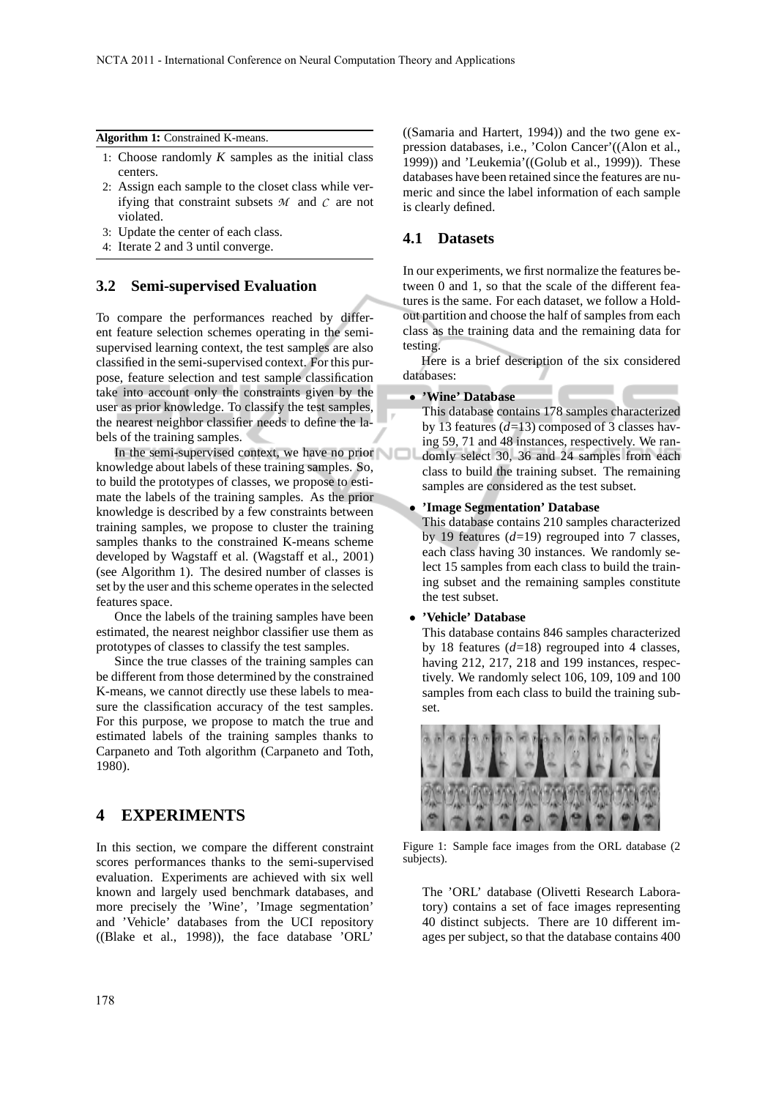#### **Algorithm 1:** Constrained K-means.

- 1: Choose randomly  $K$  samples as the initial class centers.
- 2: Assign each sample to the closet class while verifying that constraint subsets *M* and *C* are not violated.
- 3: Update the center of each class.
- 4: Iterate 2 and 3 until converge.

### **3.2 Semi-supervised Evaluation**

To compare the performances reached by different feature selection schemes operating in the semisupervised learning context, the test samples are also classified in the semi-supervised context. For this purpose, feature selection and test sample classification take into account only the constraints given by the user as prior knowledge. To classify the test samples, the nearest neighbor classifier needs to define the labels of the training samples.

In the semi-supervised context, we have no prior knowledge about labels of these training samples. So, to build the prototypes of classes, we propose to estimate the labels of the training samples. As the prior knowledge is described by a few constraints between training samples, we propose to cluster the training samples thanks to the constrained K-means scheme developed by Wagstaff et al. (Wagstaff et al., 2001) (see Algorithm 1). The desired number of classes is set by the user and this scheme operates in the selected features space.

Once the labels of the training samples have been estimated, the nearest neighbor classifier use them as prototypes of classes to classify the test samples.

Since the true classes of the training samples can be different from those determined by the constrained K-means, we cannot directly use these labels to measure the classification accuracy of the test samples. For this purpose, we propose to match the true and estimated labels of the training samples thanks to Carpaneto and Toth algorithm (Carpaneto and Toth, 1980).

## **4 EXPERIMENTS**

In this section, we compare the different constraint scores performances thanks to the semi-supervised evaluation. Experiments are achieved with six well known and largely used benchmark databases, and more precisely the 'Wine', 'Image segmentation' and 'Vehicle' databases from the UCI repository ((Blake et al., 1998)), the face database 'ORL'

((Samaria and Hartert, 1994)) and the two gene expression databases, i.e., 'Colon Cancer'((Alon et al., 1999)) and 'Leukemia'((Golub et al., 1999)). These databases have been retained since the features are numeric and since the label information of each sample is clearly defined.

### **4.1 Datasets**

In our experiments, we first normalize the features between 0 and 1, so that the scale of the different features is the same. For each dataset, we follow a Holdout partition and choose the half of samples from each class as the training data and the remaining data for testing.

Here is a brief description of the six considered databases:

#### • **'Wine' Database**

This database contains 178 samples characterized by 13 features (*d*=13) composed of 3 classes having 59, 71 and 48 instances, respectively. We randomly select 30, 36 and 24 samples from each class to build the training subset. The remaining samples are considered as the test subset.

#### • **'Image Segmentation' Database**

This database contains 210 samples characterized by 19 features (*d*=19) regrouped into 7 classes, each class having 30 instances. We randomly select 15 samples from each class to build the training subset and the remaining samples constitute the test subset.

#### • **'Vehicle' Database**

This database contains 846 samples characterized by 18 features (*d*=18) regrouped into 4 classes, having 212, 217, 218 and 199 instances, respectively. We randomly select 106, 109, 109 and 100 samples from each class to build the training subset.



Figure 1: Sample face images from the ORL database (2 subjects).

The 'ORL' database (Olivetti Research Laboratory) contains a set of face images representing 40 distinct subjects. There are 10 different images per subject, so that the database contains 400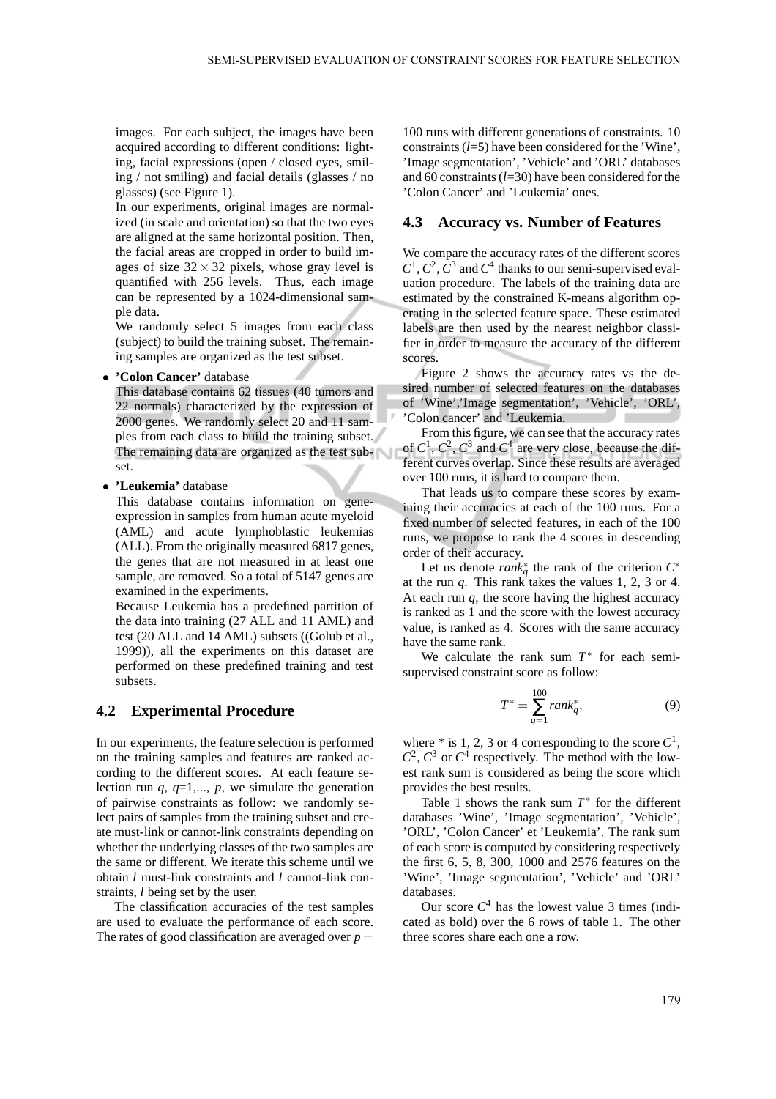images. For each subject, the images have been acquired according to different conditions: lighting, facial expressions (open / closed eyes, smiling / not smiling) and facial details (glasses / no glasses) (see Figure 1).

In our experiments, original images are normalized (in scale and orientation) so that the two eyes are aligned at the same horizontal position. Then, the facial areas are cropped in order to build images of size  $32 \times 32$  pixels, whose gray level is quantified with 256 levels. Thus, each image can be represented by a 1024-dimensional sample data.

We randomly select 5 images from each class (subject) to build the training subset. The remaining samples are organized as the test subset.

• **'Colon Cancer'** database

This database contains 62 tissues (40 tumors and 22 normals) characterized by the expression of 2000 genes. We randomly select 20 and 11 samples from each class to build the training subset. The remaining data are organized as the test subset.

• **'Leukemia'** database

This database contains information on geneexpression in samples from human acute myeloid (AML) and acute lymphoblastic leukemias (ALL). From the originally measured 6817 genes, the genes that are not measured in at least one sample, are removed. So a total of 5147 genes are examined in the experiments.

Because Leukemia has a predefined partition of the data into training (27 ALL and 11 AML) and test (20 ALL and 14 AML) subsets ((Golub et al., 1999)), all the experiments on this dataset are performed on these predefined training and test subsets.

### **4.2 Experimental Procedure**

In our experiments, the feature selection is performed on the training samples and features are ranked according to the different scores. At each feature selection run  $q$ ,  $q=1,..., p$ , we simulate the generation of pairwise constraints as follow: we randomly select pairs of samples from the training subset and create must-link or cannot-link constraints depending on whether the underlying classes of the two samples are the same or different. We iterate this scheme until we obtain *l* must-link constraints and *l* cannot-link constraints, *l* being set by the user.

The classification accuracies of the test samples are used to evaluate the performance of each score. The rates of good classification are averaged over  $p =$  100 runs with different generations of constraints. 10 constraints (*l*=5) have been considered for the 'Wine', 'Image segmentation', 'Vehicle' and 'ORL' databases and 60 constraints (*l*=30) have been considered for the 'Colon Cancer' and 'Leukemia' ones.

#### **4.3 Accuracy vs. Number of Features**

We compare the accuracy rates of the different scores  $C^1$ ,  $C^2$ ,  $\overline{C}^3$  and  $C^4$  thanks to our semi-supervised evaluation procedure. The labels of the training data are estimated by the constrained K-means algorithm operating in the selected feature space. These estimated labels are then used by the nearest neighbor classifier in order to measure the accuracy of the different scores.

Figure 2 shows the accuracy rates vs the desired number of selected features on the databases of 'Wine','Image segmentation', 'Vehicle', 'ORL', 'Colon cancer' and 'Leukemia.

From this figure, we can see that the accuracy rates of  $C^1$ ,  $C^2$ ,  $C^3$  and  $C^4$  are very close, because the different curves overlap. Since these results are averaged over 100 runs, it is hard to compare them.

That leads us to compare these scores by examining their accuracies at each of the 100 runs. For a fixed number of selected features, in each of the 100 runs, we propose to rank the 4 scores in descending order of their accuracy.

Let us denote  $rank_q^*$  the rank of the criterion  $C^*$ at the run  $q$ . This rank takes the values 1, 2, 3 or 4. At each run *q*, the score having the highest accuracy is ranked as 1 and the score with the lowest accuracy value, is ranked as 4. Scores with the same accuracy have the same rank.

We calculate the rank sum  $T^*$  for each semisupervised constraint score as follow:

$$
T^* = \sum_{q=1}^{100} rank_q^*,\tag{9}
$$

where  $*$  is 1, 2, 3 or 4 corresponding to the score  $C^1$ ,  $C^2$ ,  $C^3$  or  $C^4$  respectively. The method with the lowest rank sum is considered as being the score which provides the best results.

Table 1 shows the rank sum  $T^*$  for the different databases 'Wine', 'Image segmentation', 'Vehicle', 'ORL', 'Colon Cancer' et 'Leukemia'. The rank sum of each score is computed by considering respectively the first 6, 5, 8, 300, 1000 and 2576 features on the 'Wine', 'Image segmentation', 'Vehicle' and 'ORL' databases.

Our score  $C<sup>4</sup>$  has the lowest value 3 times (indicated as bold) over the 6 rows of table 1. The other three scores share each one a row.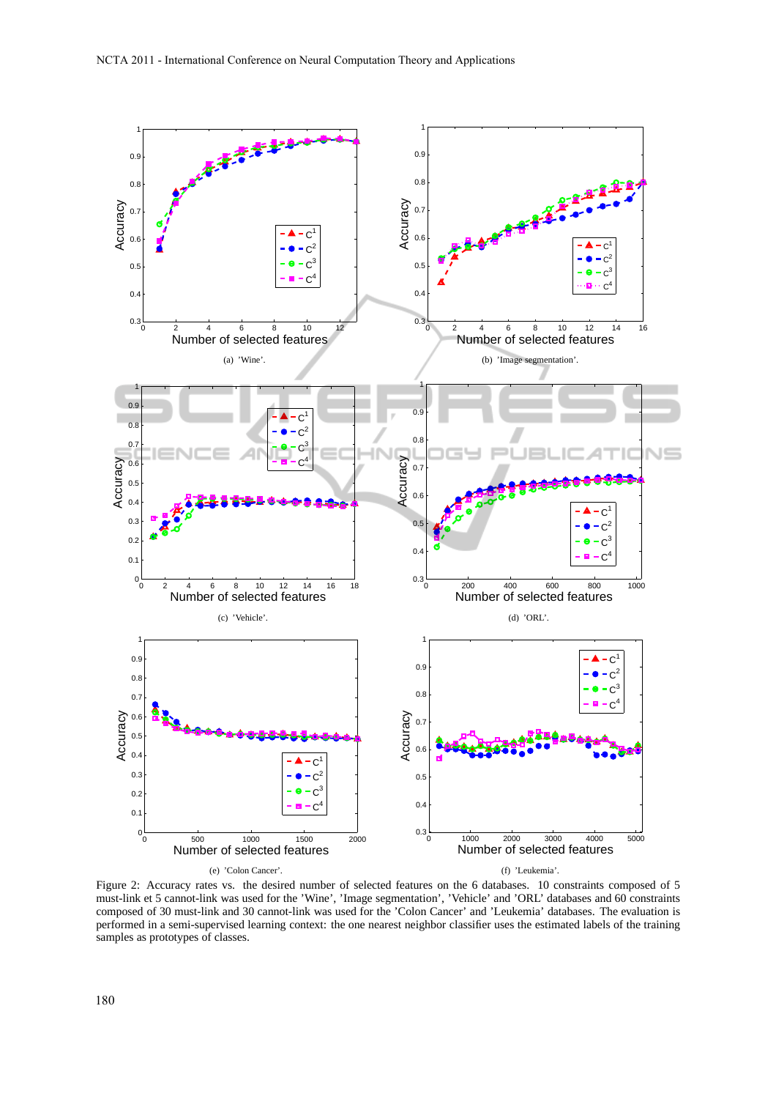

Figure 2: Accuracy rates vs. the desired number of selected features on the 6 databases. 10 constraints composed of 5 must-link et 5 cannot-link was used for the 'Wine', 'Image segmentation', 'Vehicle' and 'ORL' databases and 60 constraints composed of 30 must-link and 30 cannot-link was used for the 'Colon Cancer' and 'Leukemia' databases. The evaluation is performed in a semi-supervised learning context: the one nearest neighbor classifier uses the estimated labels of the training samples as prototypes of classes.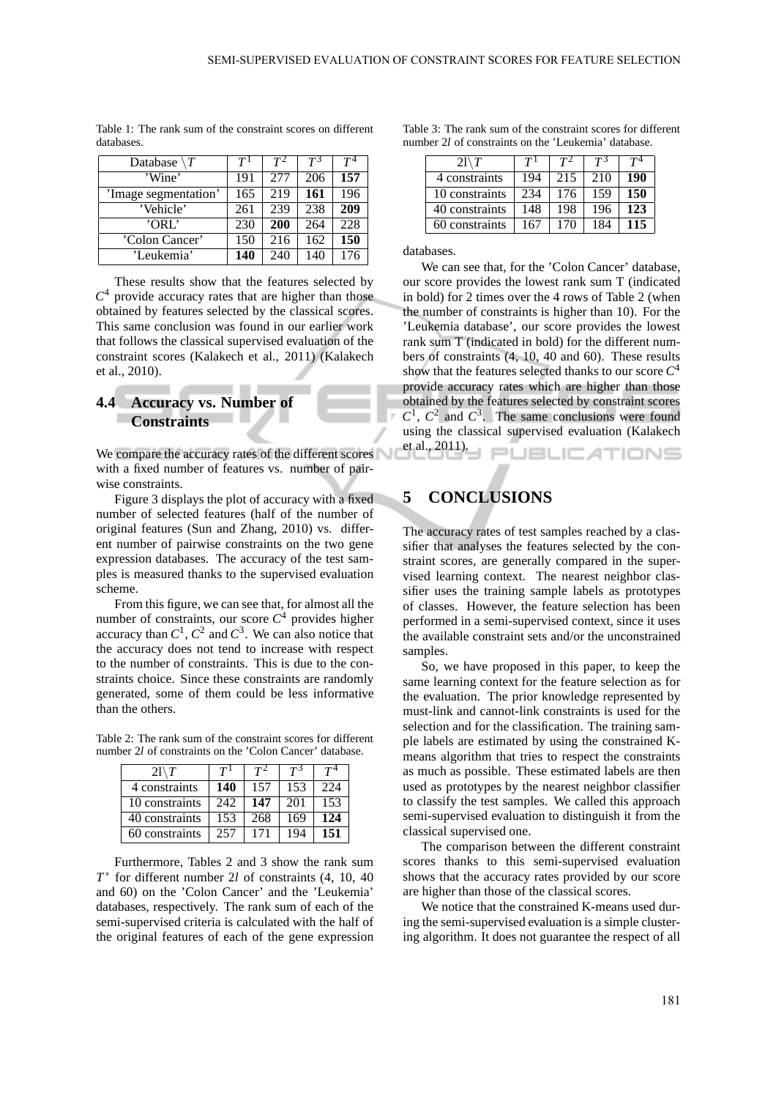| Database             | T <sup>1</sup> | $T^2$ | $T^3$ | $T^4$ |
|----------------------|----------------|-------|-------|-------|
| 'Wine'               | 191            | 2.77  | 206   | 157   |
| 'Image segmentation' | 165            | 219   | 161   | 196   |
| 'Vehicle'            | 261            | 239   | 238   | 209   |
| 'ORL'                | 230            | 200   | 264   | 228   |
| 'Colon Cancer'       | 150            | 216   | 162   | 150   |
| 'Leukemia'           | 140            | 240   | 140   | 176   |

Table 1: The rank sum of the constraint scores on different databases.

These results show that the features selected by  $C<sup>4</sup>$  provide accuracy rates that are higher than those obtained by features selected by the classical scores. This same conclusion was found in our earlier work that follows the classical supervised evaluation of the constraint scores (Kalakech et al., 2011) (Kalakech et al., 2010).

## **4.4 Accuracy vs. Number of Constraints**

We compare the accuracy rates of the different scores with a fixed number of features vs. number of pairwise constraints.

Figure 3 displays the plot of accuracy with a fixed number of selected features (half of the number of original features (Sun and Zhang, 2010) vs. different number of pairwise constraints on the two gene expression databases. The accuracy of the test samples is measured thanks to the supervised evaluation scheme.

From this figure, we can see that, for almost all the number of constraints, our score  $C<sup>4</sup>$  provides higher accuracy than  $C^1$ ,  $C^2$  and  $C^3$ . We can also notice that the accuracy does not tend to increase with respect to the number of constraints. This is due to the constraints choice. Since these constraints are randomly generated, some of them could be less informative than the others.

Table 2: The rank sum of the constraint scores for different number 2*l* of constraints on the 'Colon Cancer' database.

| $2l \setminus T$ | T <sup>1</sup> | $T^2$ | $T^3$ | $\mathcal{L}^{4}$ |
|------------------|----------------|-------|-------|-------------------|
| 4 constraints    | 140            | 157   | 153   | 224               |
| 10 constraints   | 242            | 147   | 201   | 153               |
| 40 constraints   | 153            | 268   | 169   | 124               |
| 60 constraints   | 257            | 171   | 194   | 151               |

Furthermore, Tables 2 and 3 show the rank sum *T* ∗ for different number 2*l* of constraints (4, 10, 40 and 60) on the 'Colon Cancer' and the 'Leukemia' databases, respectively. The rank sum of each of the semi-supervised criteria is calculated with the half of the original features of each of the gene expression

| Table 3: The rank sum of the constraint scores for different |  |
|--------------------------------------------------------------|--|
| number 2l of constraints on the 'Leukemia' database.         |  |

| $21 \mid T$    | T <sup>1</sup> | TΖ  | T <sup>3</sup> |     |
|----------------|----------------|-----|----------------|-----|
| 4 constraints  | 194            | 215 | 210            | 190 |
| 10 constraints | 234            | 176 | 159            | 150 |
| 40 constraints | 148            | 198 | 196            | 123 |
| 60 constraints | 167            | 170 | 184            | 115 |

databases.

We can see that, for the 'Colon Cancer' database, our score provides the lowest rank sum T (indicated in bold) for 2 times over the 4 rows of Table 2 (when the number of constraints is higher than 10). For the 'Leukemia database', our score provides the lowest rank sum T (indicated in bold) for the different numbers of constraints (4, 10, 40 and 60). These results show that the features selected thanks to our score *C* 4 provide accuracy rates which are higher than those obtained by the features selected by constraint scores  $C^1$ ,  $C^2$  and  $C^3$ . The same conclusions were found using the classical supervised evaluation (Kalakech et al., 2011). **PUBLICATIONS** 

# **5 CONCLUSIONS**

The accuracy rates of test samples reached by a classifier that analyses the features selected by the constraint scores, are generally compared in the supervised learning context. The nearest neighbor classifier uses the training sample labels as prototypes of classes. However, the feature selection has been performed in a semi-supervised context, since it uses the available constraint sets and/or the unconstrained samples.

So, we have proposed in this paper, to keep the same learning context for the feature selection as for the evaluation. The prior knowledge represented by must-link and cannot-link constraints is used for the selection and for the classification. The training sample labels are estimated by using the constrained Kmeans algorithm that tries to respect the constraints as much as possible. These estimated labels are then used as prototypes by the nearest neighbor classifier to classify the test samples. We called this approach semi-supervised evaluation to distinguish it from the classical supervised one.

The comparison between the different constraint scores thanks to this semi-supervised evaluation shows that the accuracy rates provided by our score are higher than those of the classical scores.

We notice that the constrained K-means used during the semi-supervised evaluation is a simple clustering algorithm. It does not guarantee the respect of all